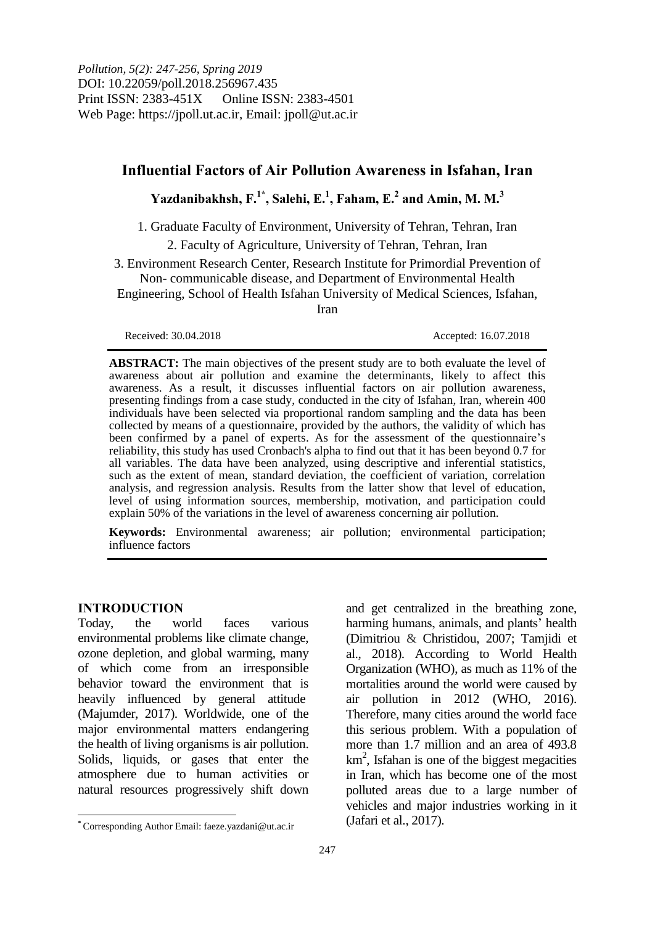*Pollution, 5(2): 247-256, Spring 2019* DOI: 10.22059/poll.2018.256967.435 Print ISSN: 2383-451X Online ISSN: 2383-4501 Web Page: https://jpoll.ut.ac.ir, Email: jpoll@ut.ac.ir

# **Influential Factors of Air Pollution Awareness in Isfahan, Iran**

# $Y$ azdanibakhsh,  $F^{1*}$ , Salehi, E.<sup>1</sup>, Faham, E.<sup>2</sup> and Amin, M. M.<sup>3</sup>

1. Graduate Faculty of Environment, University of Tehran, Tehran, Iran

2. Faculty of Agriculture, University of Tehran, Tehran, Iran

3. Environment Research Center, Research Institute for Primordial Prevention of Non- communicable disease, and Department of Environmental Health

Engineering, School of Health Isfahan University of Medical Sciences, Isfahan,

Iran

**ABSTRACT:** The main objectives of the present study are to both evaluate the level of awareness about air pollution and examine the determinants, likely to affect this awareness. As a result, it discusses influential factors on air pollution awareness, presenting findings from a case study, conducted in the city of Isfahan, Iran, wherein 400 individuals have been selected via proportional random sampling and the data has been collected by means of a questionnaire, provided by the authors, the validity of which has been confirmed by a panel of experts. As for the assessment of the questionnaire's reliability, this study has used Cronbach's alpha to find out that it has been beyond 0.7 for all variables. The data have been analyzed, using descriptive and inferential statistics, such as the extent of mean, standard deviation, the coefficient of variation, correlation analysis, and regression analysis. Results from the latter show that level of education, level of using information sources, membership, motivation, and participation could explain 50% of the variations in the level of awareness concerning air pollution.

**Keywords:** Environmental awareness; air pollution; environmental participation; influence factors

### **INTRODUCTION**

Today, the world faces various environmental problems like climate change, ozone depletion, and global warming, many of which come from an irresponsible behavior toward the environment that is heavily influenced by general attitude (Majumder, 2017). Worldwide, one of the major environmental matters endangering the health of living organisms is air pollution. Solids, liquids, or gases that enter the atmosphere due to human activities or natural resources progressively shift down

and get centralized in the breathing zone, harming humans, animals, and plants' health (Dimitriou & Christidou, 2007; Tamjidi et al., 2018). According to World Health Organization (WHO), as much as 11% of the mortalities around the world were caused by air pollution in 2012 (WHO, 2016). Therefore, many cities around the world face this serious problem. With a population of more than 1.7 million and an area of 493.8  $km<sup>2</sup>$ , Isfahan is one of the biggest megacities in Iran, which has become one of the most polluted areas due to a large number of vehicles and major industries working in it (Jafari et al., 2017).

Received: 30.04.2018 Accepted: 16.07.2018

 $\overline{a}$ **\*** Corresponding Author Email: faeze.yazdani@ut.ac.ir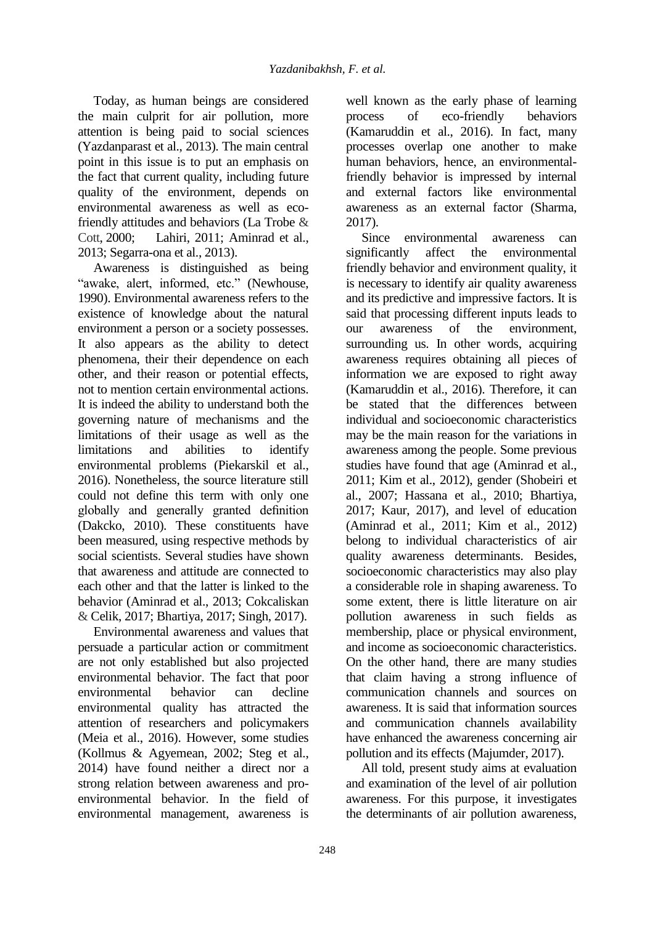Today, as human beings are considered the main culprit for air pollution, more attention is being paid to social sciences (Yazdanparast et al., 2013). The main central point in this issue is to put an emphasis on the fact that current quality, including future quality of the environment, depends on environmental awareness as well as ecofriendly attitudes and behaviors (La Trobe & Cott, 2000; Lahiri, 2011; Aminrad et al., 2013; Segarra-ona et al., 2013).

Awareness is distinguished as being "awake, alert, informed, etc." (Newhouse, 1990). Environmental awareness refers to the existence of knowledge about the natural environment a person or a society possesses. It also appears as the ability to detect phenomena, their their dependence on each other, and their reason or potential effects, not to mention certain environmental actions. It is indeed the ability to understand both the governing nature of mechanisms and the limitations of their usage as well as the limitations and abilities to identify environmental problems (Piekarskil et al., 2016). Nonetheless, the source literature still could not define this term with only one globally and generally granted definition (Dakcko, 2010). These constituents have been measured, using respective methods by social scientists. Several studies have shown that awareness and attitude are connected to each other and that the latter is linked to the behavior (Aminrad et al., 2013; Cokcaliskan & Celik, 2017; Bhartiya, 2017; Singh, 2017).

Environmental awareness and values that persuade a particular action or commitment are not only established but also projected environmental behavior. The fact that poor environmental behavior can decline environmental quality has attracted the attention of researchers and policymakers (Meia et al., 2016). However, some studies (Kollmus & Agyemean, 2002; Steg et al., 2014) have found neither a direct nor a strong relation between awareness and proenvironmental behavior. In the field of environmental management, awareness is

well known as the early phase of learning process of eco-friendly behaviors (Kamaruddin et al., 2016). In fact, many processes overlap one another to make human behaviors, hence, an environmentalfriendly behavior is impressed by internal and external factors like environmental awareness as an external factor (Sharma, 2017).

Since environmental awareness can significantly affect the environmental friendly behavior and environment quality, it is necessary to identify air quality awareness and its predictive and impressive factors. It is said that processing different inputs leads to our awareness of the environment, surrounding us. In other words, acquiring awareness requires obtaining all pieces of information we are exposed to right away (Kamaruddin et al., 2016). Therefore, it can be stated that the differences between individual and socioeconomic characteristics may be the main reason for the variations in awareness among the people. Some previous studies have found that age (Aminrad et al., 2011; Kim et al., 2012), gender (Shobeiri et al., 2007; Hassana et al., 2010; Bhartiya, 2017; Kaur, 2017), and level of education (Aminrad et al., 2011; Kim et al., 2012) belong to individual characteristics of air quality awareness determinants. Besides, socioeconomic characteristics may also play a considerable role in shaping awareness. To some extent, there is little literature on air pollution awareness in such fields membership, place or physical environment, and income as socioeconomic characteristics. On the other hand, there are many studies that claim having a strong influence of communication channels and sources on awareness. It is said that information sources and communication channels availability have enhanced the awareness concerning air pollution and its effects (Majumder, 2017).

All told, present study aims at evaluation and examination of the level of air pollution awareness. For this purpose, it investigates the determinants of air pollution awareness,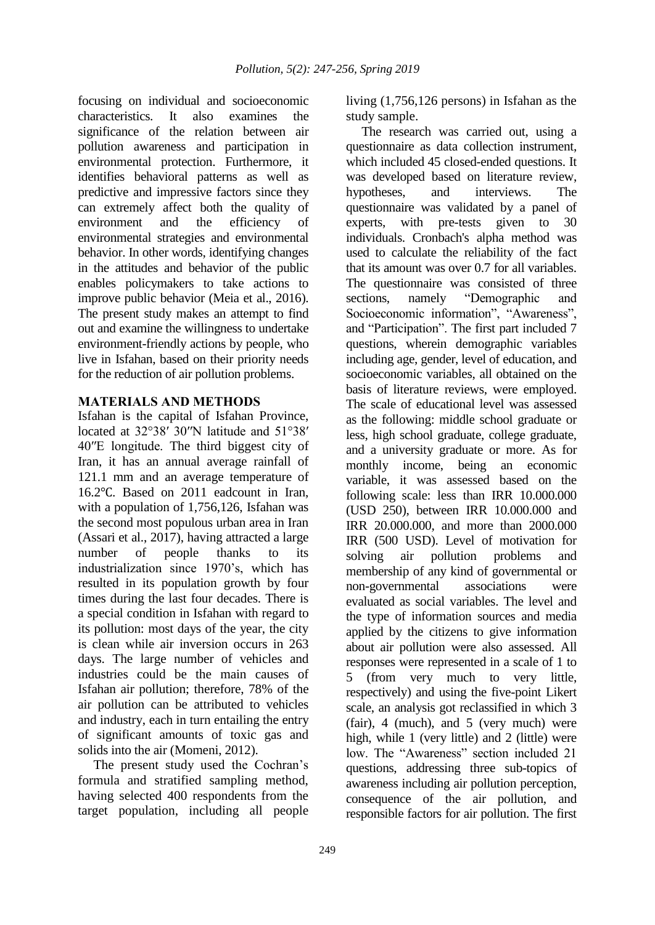focusing on individual and socioeconomic characteristics. It also examines the significance of the relation between air pollution awareness and participation in environmental protection. Furthermore, it identifies behavioral patterns as well as predictive and impressive factors since they can extremely affect both the quality of environment and the efficiency of environmental strategies and environmental behavior. In other words, identifying changes in the attitudes and behavior of the public enables policymakers to take actions to improve public behavior (Meia et al., 2016). The present study makes an attempt to find out and examine the willingness to undertake environment-friendly actions by people, who live in Isfahan, based on their priority needs for the reduction of air pollution problems.

#### **MATERIALS AND METHODS**

Isfahan is the capital of Isfahan Province, located at 32°38′ 30″N latitude and 51°38′ 40′′E longitude. The third biggest city of Iran, it has an annual average rainfall of 121.1 mm and an average temperature of 16.2℃. Based on 2011 eadcount in Iran, with a population of 1,756,126, Isfahan was the second most populous urban area in Iran (Assari et al., 2017), having attracted a large number of people thanks to its industrialization since 1970's, which has resulted in its population growth by four times during the last four decades. There is a special condition in Isfahan with regard to its pollution: most days of the year, the city is clean while air inversion occurs in 263 days. The large number of vehicles and industries could be the main causes of Isfahan air pollution; therefore, 78% of the air pollution can be attributed to vehicles and industry, each in turn entailing the entry of significant amounts of toxic gas and solids into the air (Momeni, 2012).

The present study used the Cochran's formula and stratified sampling method, having selected 400 respondents from the target population, including all people

living (1,756,126 persons) in Isfahan as the study sample.

The research was carried out, using a questionnaire as data collection instrument, which included 45 closed-ended questions. It was developed based on literature review, hypotheses, and interviews. The questionnaire was validated by a panel of experts, with pre-tests given to 30 individuals. Cronbach's alpha method was used to calculate the reliability of the fact that its amount was over 0.7 for all variables. The questionnaire was consisted of three sections, namely "Demographic and Socioeconomic information", "Awareness", and "Participation". The first part included 7 questions, wherein demographic variables including age, gender, level of education, and socioeconomic variables, all obtained on the basis of literature reviews, were employed. The scale of educational level was assessed as the following: middle school graduate or less, high school graduate, college graduate, and a university graduate or more. As for monthly income, being an economic variable, it was assessed based on the following scale: less than IRR 10.000.000 (USD 250), between IRR 10.000.000 and IRR 20.000.000, and more than 2000.000 IRR (500 USD). Level of motivation for solving air pollution problems and membership of any kind of governmental or non-governmental associations were evaluated as social variables. The level and the type of information sources and media applied by the citizens to give information about air pollution were also assessed. All responses were represented in a scale of 1 to 5 (from very much to very little, respectively) and using the five-point Likert scale, an analysis got reclassified in which 3 (fair), 4 (much), and 5 (very much) were high, while 1 (very little) and 2 (little) were low. The "Awareness" section included 21 questions, addressing three sub-topics of awareness including air pollution perception, consequence of the air pollution, and responsible factors for air pollution. The first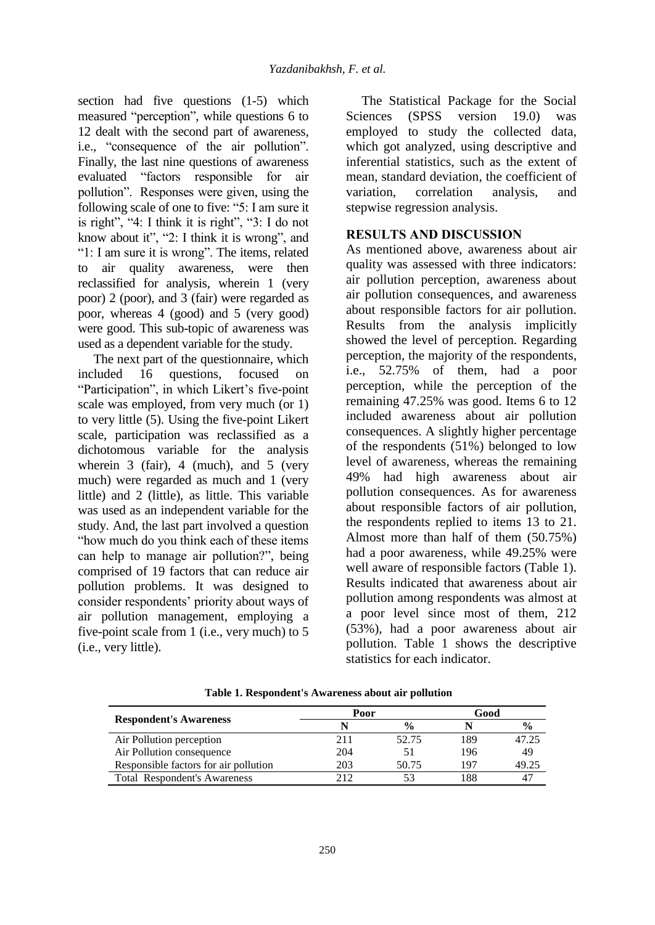section had five questions (1-5) which measured "perception", while questions 6 to 12 dealt with the second part of awareness, i.e., "consequence of the air pollution". Finally, the last nine questions of awareness evaluated "factors responsible for air pollution". Responses were given, using the following scale of one to five: "5: I am sure it is right", "4: I think it is right", "3: I do not know about it", "2: I think it is wrong", and "1: I am sure it is wrong". The items, related to air quality awareness, were then reclassified for analysis, wherein 1 (very poor) 2 (poor), and 3 (fair) were regarded as poor, whereas 4 (good) and 5 (very good) were good. This sub-topic of awareness was used as a dependent variable for the study.

The next part of the questionnaire, which included 16 questions, focused on "Participation", in which Likert's five-point scale was employed, from very much (or 1) to very little (5). Using the five-point Likert scale, participation was reclassified as a dichotomous variable for the analysis wherein 3 (fair), 4 (much), and 5 (very much) were regarded as much and 1 (very little) and 2 (little), as little. This variable was used as an independent variable for the study. And, the last part involved a question "how much do you think each of these items can help to manage air pollution?", being comprised of 19 factors that can reduce air pollution problems. It was designed to consider respondents' priority about ways of air pollution management, employing a five-point scale from 1 (i.e., very much) to 5 (i.e., very little).

The Statistical Package for the Social Sciences (SPSS version 19.0) was employed to study the collected data, which got analyzed, using descriptive and inferential statistics, such as the extent of mean, standard deviation, the coefficient of variation, correlation analysis, and stepwise regression analysis.

## **RESULTS AND DISCUSSION**

As mentioned above, awareness about air quality was assessed with three indicators: air pollution perception, awareness about air pollution consequences, and awareness about responsible factors for air pollution. Results from the analysis implicitly showed the level of perception. Regarding perception, the majority of the respondents, i.e., 52.75% of them, had a poor perception, while the perception of the remaining 47.25% was good. Items 6 to 12 included awareness about air pollution consequences. A slightly higher percentage of the respondents (51%) belonged to low level of awareness, whereas the remaining 49% had high awareness about air pollution consequences. As for awareness about responsible factors of air pollution, the respondents replied to items 13 to 21. Almost more than half of them (50.75%) had a poor awareness, while 49.25% were well aware of responsible factors (Table 1). Results indicated that awareness about air pollution among respondents was almost at a poor level since most of them, 212 (53%), had a poor awareness about air pollution. Table 1 shows the descriptive statistics for each indicator.

|                                       | Poor |               | Good |               |  |
|---------------------------------------|------|---------------|------|---------------|--|
| <b>Respondent's Awareness</b>         |      | $\frac{0}{0}$ |      | $\frac{0}{0}$ |  |
| Air Pollution perception              | 211  | 52.75         | 89   | 47.25         |  |
| Air Pollution consequence             | 204  | 51            | 196  | 49            |  |
| Responsible factors for air pollution | 203  | 50.75         | 197  | 49.25         |  |
| <b>Total Respondent's Awareness</b>   | 212  |               | 88   |               |  |

**Table 1. Respondent's Awareness about air pollution**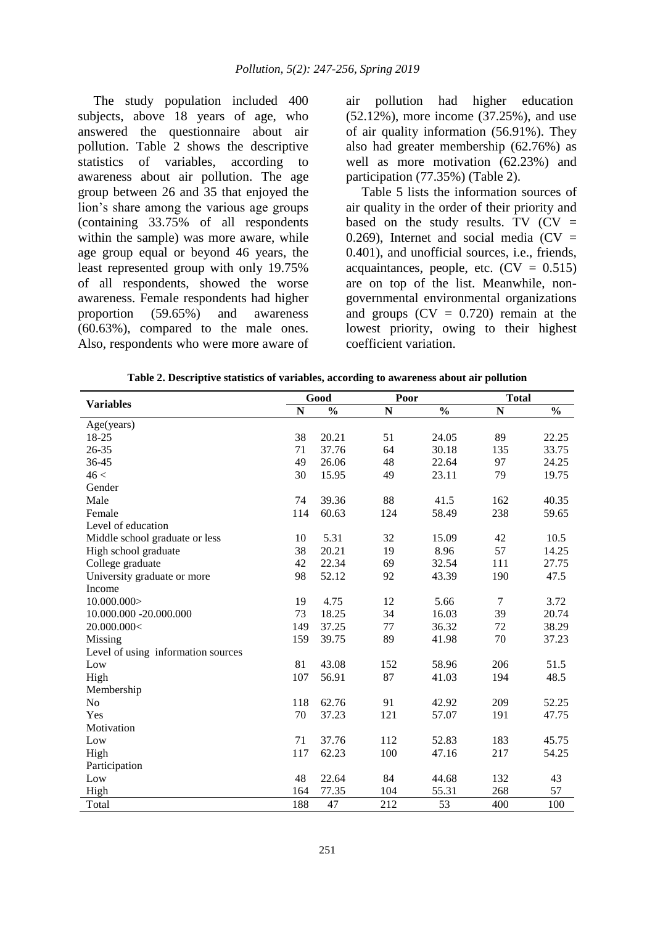The study population included 400 subjects, above 18 years of age, who answered the questionnaire about air pollution. Table 2 shows the descriptive statistics of variables, according to awareness about air pollution. The age group between 26 and 35 that enjoyed the lion's share among the various age groups (containing 33.75% of all respondents within the sample) was more aware, while age group equal or beyond 46 years, the least represented group with only 19.75% of all respondents, showed the worse awareness. Female respondents had higher proportion (59.65%) and awareness (60.63%), compared to the male ones. Also, respondents who were more aware of air pollution had higher education (52.12%), more income (37.25%), and use of air quality information (56.91%). They also had greater membership (62.76%) as well as more motivation (62.23%) and participation (77.35%) (Table 2).

Table 5 lists the information sources of air quality in the order of their priority and based on the study results. TV  $(CV =$ 0.269). Internet and social media  $(CV =$ 0.401), and unofficial sources, i.e., friends, acquaintances, people, etc.  $(CV = 0.515)$ are on top of the list. Meanwhile, nongovernmental environmental organizations and groups  $(CV = 0.720)$  remain at the lowest priority, owing to their highest coefficient variation.

| Table 2. Descriptive statistics of variables, according to awareness about air pollution |  |  |
|------------------------------------------------------------------------------------------|--|--|
|                                                                                          |  |  |

|                                    |             | Good          |             | Poor          |     | <b>Total</b>  |  |
|------------------------------------|-------------|---------------|-------------|---------------|-----|---------------|--|
| Variables                          | $\mathbf N$ | $\frac{0}{0}$ | $\mathbf N$ | $\frac{0}{0}$ | N   | $\frac{0}{0}$ |  |
| Age(years)                         |             |               |             |               |     |               |  |
| 18-25                              | 38          | 20.21         | 51          | 24.05         | 89  | 22.25         |  |
| 26-35                              | 71          | 37.76         | 64          | 30.18         | 135 | 33.75         |  |
| 36-45                              | 49          | 26.06         | 48          | 22.64         | 97  | 24.25         |  |
| 46 <                               | 30          | 15.95         | 49          | 23.11         | 79  | 19.75         |  |
| Gender                             |             |               |             |               |     |               |  |
| Male                               | 74          | 39.36         | 88          | 41.5          | 162 | 40.35         |  |
| Female                             | 114         | 60.63         | 124         | 58.49         | 238 | 59.65         |  |
| Level of education                 |             |               |             |               |     |               |  |
| Middle school graduate or less     | 10          | 5.31          | 32          | 15.09         | 42  | 10.5          |  |
| High school graduate               | 38          | 20.21         | 19          | 8.96          | 57  | 14.25         |  |
| College graduate                   | 42          | 22.34         | 69          | 32.54         | 111 | 27.75         |  |
| University graduate or more        | 98          | 52.12         | 92          | 43.39         | 190 | 47.5          |  |
| Income                             |             |               |             |               |     |               |  |
| 10.000.000                         | 19          | 4.75          | 12          | 5.66          | 7   | 3.72          |  |
| 10.000.000 -20.000.000             | 73          | 18.25         | 34          | 16.03         | 39  | 20.74         |  |
| 20.000.000<                        | 149         | 37.25         | 77          | 36.32         | 72  | 38.29         |  |
| Missing                            | 159         | 39.75         | 89          | 41.98         | 70  | 37.23         |  |
| Level of using information sources |             |               |             |               |     |               |  |
| Low                                | 81          | 43.08         | 152         | 58.96         | 206 | 51.5          |  |
| High                               | 107         | 56.91         | 87          | 41.03         | 194 | 48.5          |  |
| Membership                         |             |               |             |               |     |               |  |
| No                                 | 118         | 62.76         | 91          | 42.92         | 209 | 52.25         |  |
| Yes                                | 70          | 37.23         | 121         | 57.07         | 191 | 47.75         |  |
| Motivation                         |             |               |             |               |     |               |  |
| Low                                | 71          | 37.76         | 112         | 52.83         | 183 | 45.75         |  |
| High                               | 117         | 62.23         | 100         | 47.16         | 217 | 54.25         |  |
| Participation                      |             |               |             |               |     |               |  |
| Low                                | 48          | 22.64         | 84          | 44.68         | 132 | 43            |  |
| High                               | 164         | 77.35         | 104         | 55.31         | 268 | 57            |  |
| Total                              | 188         | 47            | 212         | 53            | 400 | 100           |  |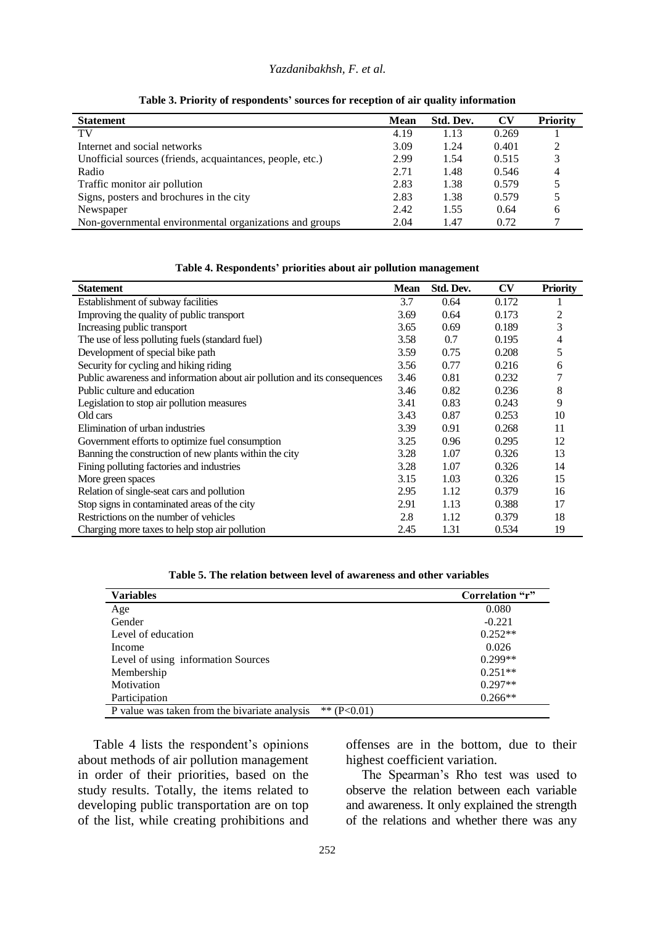#### *Yazdanibakhsh, F. et al.*

| <b>Statement</b>                                          | <b>Mean</b> | Std. Dev. | <b>CV</b> | <b>Priority</b> |
|-----------------------------------------------------------|-------------|-----------|-----------|-----------------|
| TV                                                        | 4.19        | 1.13      | 0.269     |                 |
| Internet and social networks                              | 3.09        | 1.24      | 0.401     |                 |
| Unofficial sources (friends, acquaintances, people, etc.) | 2.99        | 1.54      | 0.515     |                 |
| Radio                                                     | 2.71        | 1.48      | 0.546     |                 |
| Traffic monitor air pollution                             | 2.83        | 1.38      | 0.579     |                 |
| Signs, posters and brochures in the city                  | 2.83        | 1.38      | 0.579     |                 |
| Newspaper                                                 | 2.42        | 1.55      | 0.64      | h               |
| Non-governmental environmental organizations and groups   | 2.04        | 1.47      | 0.72      |                 |

**Table 3. Priority of respondents' sources for reception of air quality information**

| <b>Statement</b>                                                          | <b>Mean</b> | Std. Dev. | CV    | <b>Priority</b> |
|---------------------------------------------------------------------------|-------------|-----------|-------|-----------------|
| Establishment of subway facilities                                        | 3.7         | 0.64      | 0.172 |                 |
| Improving the quality of public transport                                 | 3.69        | 0.64      | 0.173 |                 |
| Increasing public transport                                               | 3.65        | 0.69      | 0.189 | 3               |
| The use of less polluting fuels (standard fuel)                           | 3.58        | 0.7       | 0.195 | 4               |
| Development of special bike path                                          | 3.59        | 0.75      | 0.208 | 5               |
| Security for cycling and hiking riding                                    | 3.56        | 0.77      | 0.216 | 6               |
| Public awareness and information about air pollution and its consequences | 3.46        | 0.81      | 0.232 |                 |
| Public culture and education                                              | 3.46        | 0.82      | 0.236 | 8               |
| Legislation to stop air pollution measures                                | 3.41        | 0.83      | 0.243 | 9               |
| Old cars                                                                  | 3.43        | 0.87      | 0.253 | 10              |
| Elimination of urban industries                                           | 3.39        | 0.91      | 0.268 | 11              |
| Government efforts to optimize fuel consumption                           | 3.25        | 0.96      | 0.295 | 12              |
| Banning the construction of new plants within the city                    | 3.28        | 1.07      | 0.326 | 13              |
| Fining polluting factories and industries                                 | 3.28        | 1.07      | 0.326 | 14              |
| More green spaces                                                         | 3.15        | 1.03      | 0.326 | 15              |
| Relation of single-seat cars and pollution                                | 2.95        | 1.12      | 0.379 | 16              |
| Stop signs in contaminated areas of the city                              | 2.91        | 1.13      | 0.388 | 17              |
| Restrictions on the number of vehicles                                    | 2.8         | 1.12      | 0.379 | 18              |
| Charging more taxes to help stop air pollution                            | 2.45        | 1.31      | 0.534 | 19              |

**Table 4. Respondents' priorities about air pollution management**

|  | Table 5. The relation between level of awareness and other variables |  |  |  |  |  |  |
|--|----------------------------------------------------------------------|--|--|--|--|--|--|
|--|----------------------------------------------------------------------|--|--|--|--|--|--|

| <b>Variables</b>                                               | Correlation "r" |
|----------------------------------------------------------------|-----------------|
| Age                                                            | 0.080           |
| Gender                                                         | $-0.221$        |
| Level of education                                             | $0.252**$       |
| Income                                                         | 0.026           |
| Level of using information Sources                             | $0.299**$       |
| Membership                                                     | $0.251**$       |
| Motivation                                                     | $0.297**$       |
| Participation                                                  | $0.266**$       |
| P value was taken from the bivariate analysis<br>** $(P<0.01)$ |                 |

Table 4 lists the respondent's opinions about methods of air pollution management in order of their priorities, based on the study results. Totally, the items related to developing public transportation are on top of the list, while creating prohibitions and

offenses are in the bottom, due to their highest coefficient variation.

The Spearman's Rho test was used to observe the relation between each variable and awareness. It only explained the strength of the relations and whether there was any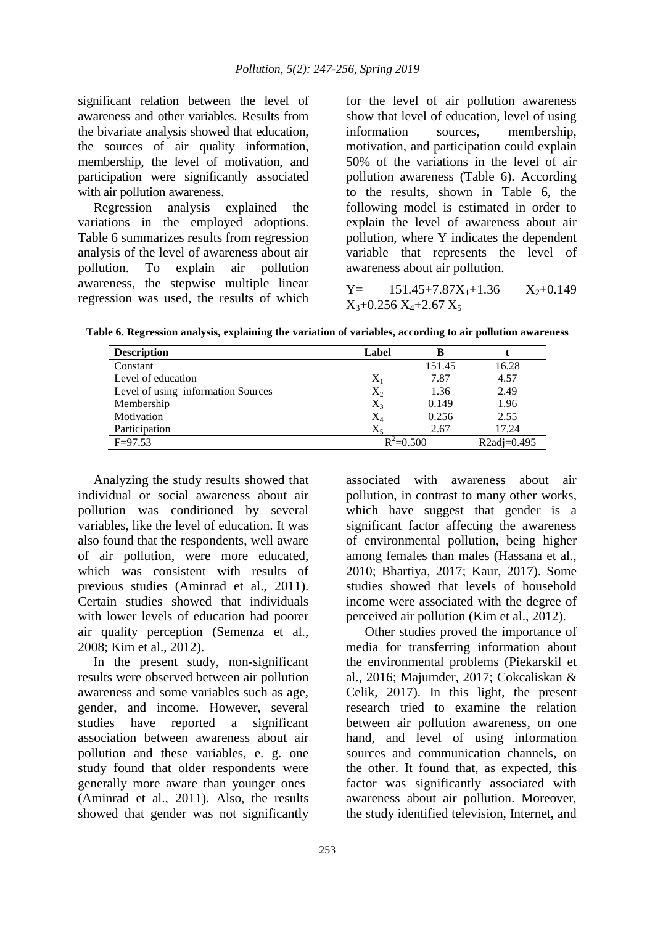significant relation between the level of awareness and other variables. Results from the bivariate analysis showed that education, the sources of air quality information, membership, the level of motivation, and participation were significantly associated with air pollution awareness.

Regression analysis explained the variations in the employed adoptions. Table 6 summarizes results from regression analysis of the level of awareness about air pollution. To explain air pollution awareness, the stepwise multiple linear regression was used, the results of which

for the level of air pollution awareness show that level of education, level of using information sources, membership, motivation, and participation could explain 50% of the variations in the level of air pollution awareness (Table 6). According to the results, shown in Table 6, the following model is estimated in order to explain the level of awareness about air pollution, where Y indicates the dependent variable that represents the level of awareness about air pollution.

 $Y=$  151.45+7.87 $X_1$ +1.36  $X_2$ +0.149  $X_3+0.256 X_4+2.67 X_5$ 

**Table 6. Regression analysis, explaining the variation of variables, according to air pollution awareness**

| <b>Description</b>                 | Label         | в      |               |
|------------------------------------|---------------|--------|---------------|
| Constant                           |               | 151.45 | 16.28         |
| Level of education                 | $X_1$         | 7.87   | 4.57          |
| Level of using information Sources | $X_2$         | 1.36   | 2.49          |
| Membership                         | $X_3$         | 0.149  | 1.96          |
| Motivation                         | $\rm X_4$     | 0.256  | 2.55          |
| Participation                      | $X_5$         | 2.67   | 17.24         |
| $F = 97.53$                        | $R^2 = 0.500$ |        | $R2adi=0.495$ |

Analyzing the study results showed that individual or social awareness about air pollution was conditioned by several variables, like the level of education. It was also found that the respondents, well aware of air pollution, were more educated, which was consistent with results of previous studies (Aminrad et al., 2011). Certain studies showed that individuals with lower levels of education had poorer air quality perception (Semenza et al., 2008; Kim et al., 2012).

In the present study, non-significant results were observed between air pollution awareness and some variables such as age, gender, and income. However, several studies have reported a significant association between awareness about air pollution and these variables, e. g. one study found that older respondents were generally more aware than younger ones (Aminrad et al., 2011). Also, the results showed that gender was not significantly

associated with awareness about air pollution, in contrast to many other works, which have suggest that gender is a significant factor affecting the awareness of environmental pollution, being higher among females than males (Hassana et al., 2010; Bhartiya, 2017; Kaur, 2017). Some studies showed that levels of household income were associated with the degree of perceived air pollution (Kim et al., 2012).

Other studies proved the importance of media for transferring information about the environmental problems (Piekarskil et al., 2016; Majumder, 2017; Cokcaliskan & Celik, 2017). In this light, the present research tried to examine the relation between air pollution awareness, on one hand, and level of using information sources and communication channels, on the other. It found that, as expected, this factor was significantly associated with awareness about air pollution. Moreover, the study identified television, Internet, and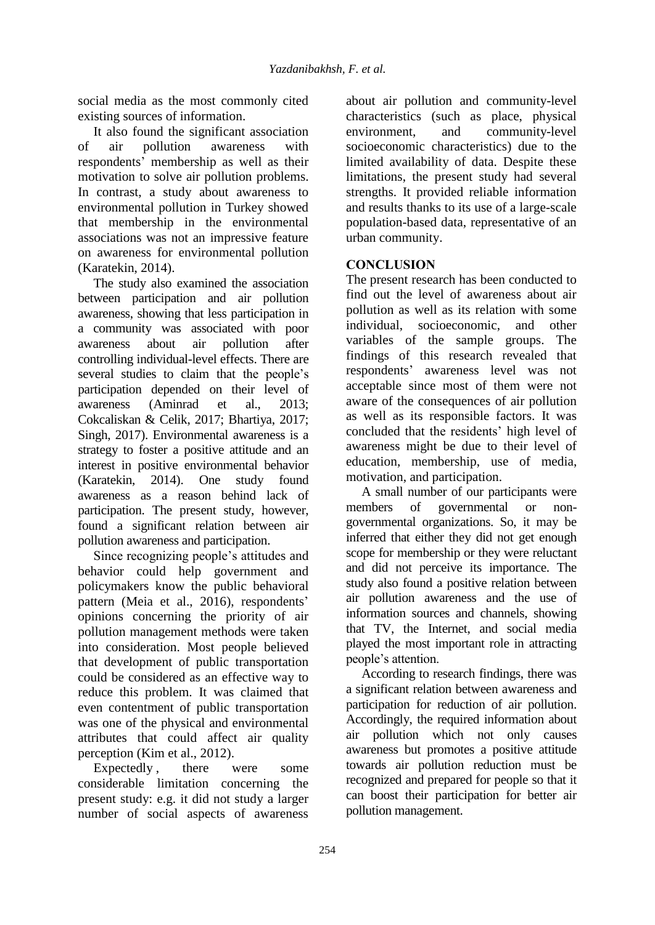social media as the most commonly cited existing sources of information.

It also found the significant association of air pollution awareness with respondents' membership as well as their motivation to solve air pollution problems. In contrast, a study about awareness to environmental pollution in Turkey showed that membership in the environmental associations was not an impressive feature on awareness for environmental pollution (Karatekin, 2014).

The study also examined the association between participation and air pollution awareness, showing that less participation in a community was associated with poor awareness about air pollution after controlling individual-level effects. There are several studies to claim that the people's participation depended on their level of awareness (Aminrad et al., 2013; Cokcaliskan & Celik, 2017; Bhartiya, 2017; Singh, 2017). Environmental awareness is a strategy to foster a positive attitude and an interest in positive environmental behavior (Karatekin, 2014). One study found awareness as a reason behind lack of participation. The present study, however, found a significant relation between air pollution awareness and participation.

Since recognizing people's attitudes and behavior could help government and policymakers know the public behavioral pattern (Meia et al., 2016), respondents' opinions concerning the priority of air pollution management methods were taken into consideration. Most people believed that development of public transportation could be considered as an effective way to reduce this problem. It was claimed that even contentment of public transportation was one of the physical and environmental attributes that could affect air quality perception (Kim et al., 2012).

Expectedly, there were some considerable limitation concerning the present study: e.g. it did not study a larger number of social aspects of awareness

about air pollution and community-level characteristics (such as place, physical environment, and community-level socioeconomic characteristics) due to the limited availability of data. Despite these limitations, the present study had several strengths. It provided reliable information and results thanks to its use of a large-scale population-based data, representative of an urban community.

## **CONCLUSION**

The present research has been conducted to find out the level of awareness about air pollution as well as its relation with some individual, socioeconomic, and other variables of the sample groups. The findings of this research revealed that respondents' awareness level was not acceptable since most of them were not aware of the consequences of air pollution as well as its responsible factors. It was concluded that the residents' high level of awareness might be due to their level of education, membership, use of media, motivation, and participation.

A small number of our participants were members of governmental or nongovernmental organizations. So, it may be inferred that either they did not get enough scope for membership or they were reluctant and did not perceive its importance. The study also found a positive relation between air pollution awareness and the use of information sources and channels, showing that TV, the Internet, and social media played the most important role in attracting people's attention.

According to research findings, there was a significant relation between awareness and participation for reduction of air pollution. Accordingly, the required information about air pollution which not only causes awareness but promotes a positive attitude towards air pollution reduction must be recognized and prepared for people so that it can boost their participation for better air pollution management.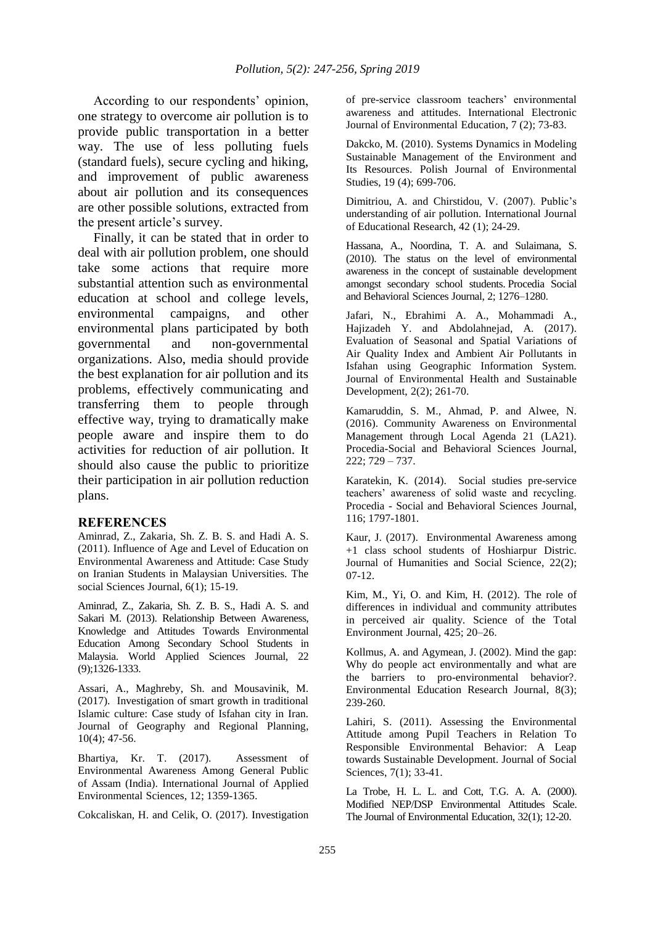According to our respondents' opinion, one strategy to overcome air pollution is to provide public transportation in a better way. The use of less polluting fuels (standard fuels), secure cycling and hiking, and improvement of public awareness about air pollution and its consequences are other possible solutions, extracted from the present article's survey.

Finally, it can be stated that in order to deal with air pollution problem, one should take some actions that require more substantial attention such as environmental education at school and college levels, environmental campaigns, and other environmental plans participated by both governmental and non-governmental organizations. Also, media should provide the best explanation for air pollution and its problems, effectively communicating and transferring them to people through effective way, trying to dramatically make people aware and inspire them to do activities for reduction of air pollution. It should also cause the public to prioritize their participation in air pollution reduction plans.

#### **REFERENCES**

Aminrad, Z., Zakaria, Sh. Z. B. S. and Hadi A. S. (2011). Influence of Age and Level of Education on Environmental Awareness and Attitude: Case Study on Iranian Students in Malaysian Universities. The social Sciences Journal,  $6(1)$ ; 15-19.

Aminrad, Z., Zakaria, Sh. Z. B. S., Hadi A. S. and Sakari M. (2013). Relationship Between Awareness, Knowledge and Attitudes Towards Environmental Education Among Secondary School Students in Malaysia. World Applied Sciences Journal, 22 (9);1326-1333.

Assari, A., Maghreby, Sh. and Mousavinik, M. (2017). Investigation of smart growth in traditional Islamic culture: Case study of Isfahan city in Iran. Journal of Geography and Regional Planning, 10(4); 47-56.

Bhartiya, Kr. T. (2017). Assessment of Environmental Awareness Among General Public of Assam (India). International Journal of Applied Environmental Sciences, 12; 1359-1365.

Cokcaliskan, H. and Celik, O. (2017). Investigation

of pre-service classroom teachers' environmental awareness and attitudes. International Electronic Journal of Environmental Education, 7 (2); 73-83.

Dakcko, M. (2010). Systems Dynamics in Modeling Sustainable Management of the Environment and Its Resources. Polish Journal of Environmental Studies, 19 (4); 699-706.

Dimitriou, A. and Chirstidou, V. (2007). Public's understanding of air pollution. International Journal of Educational Research, 42 (1); 24-29.

Hassana, A., Noordina, T. A. and Sulaimana, S. (2010). The status on the level of environmental awareness in the concept of sustainable development amongst secondary school students. Procedia Social and Behavioral Sciences Journal, 2; 1276–1280.

Jafari, N., Ebrahimi A. A., Mohammadi A., Hajizadeh Y. and Abdolahnejad, A. (2017). Evaluation of Seasonal and Spatial Variations of Air Quality Index and Ambient Air Pollutants in Isfahan using Geographic Information System. Journal of Environmental Health and Sustainable Development, 2(2); 261-70.

Kamaruddin, S. M., Ahmad, P. and Alwee, N. (2016). Community Awareness on Environmental Management through Local Agenda 21 (LA21). Procedia-Social and Behavioral Sciences Journal, 222; 729 – 737.

Karatekin, K. (2014). Social studies pre-service teachers' awareness of solid waste and recycling. Procedia - Social and Behavioral Sciences Journal, 116; 1797-1801.

Kaur, J. (2017). Environmental Awareness among +1 class school students of Hoshiarpur Distric. Journal of Humanities and Social Science, 22(2); 07-12.

Kim, M., Yi, O. and Kim, H. (2012). The role of differences in individual and community attributes in perceived air quality. Science of the Total Environment Journal, 425; 20–26.

Kollmus, A. and Agymean, J. (2002). Mind the gap: Why do people act environmentally and what are the barriers to pro-environmental behavior?. Environmental Education Research Journal, 8(3); 239-260.

Lahiri, S. (2011). Assessing the Environmental Attitude among Pupil Teachers in Relation To Responsible Environmental Behavior: A Leap towards Sustainable Development. Journal of Social Sciences, 7(1); 33-41.

La Trobe, H. L. L. and Cott, T.G. A. A. (2000). Modified NEP/DSP Environmental Attitudes Scale. The Journal of Environmental Education, 32(1); 12-20.